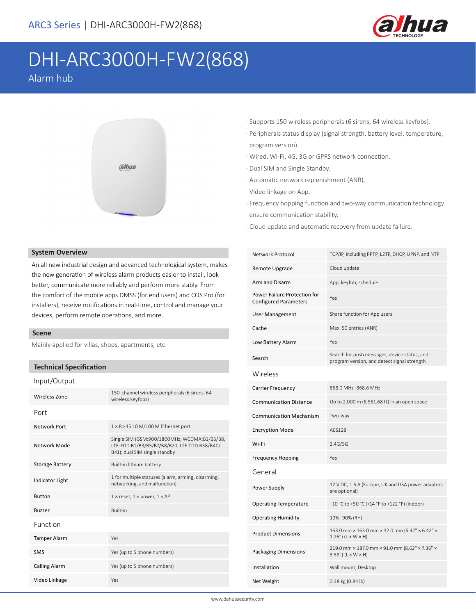

# DHI-ARC3000H-FW2(868)

Alarm hub



#### **System Overview**

An all new industrial design and advanced technological system, makes the new generation of wireless alarm products easier to install, look better, communicate more reliably and perform more stably. From the comfort of the mobile apps DMSS (for end users) and COS Pro (for installers), receive notifications in real-time, control and manage your devices, perform remote operations, and more.

#### **Scene**

Mainly applied for villas, shops, apartments, etc.

#### **Technical Specification**

#### Input/Output

| Wireless Zone          | 150-channel wireless peripherals (6 sirens, 64<br>wireless keyfobs)                                                           |  |
|------------------------|-------------------------------------------------------------------------------------------------------------------------------|--|
| Port                   |                                                                                                                               |  |
| Network Port           | $1 \times R$ J-45 10 M/100 M Ethernet port                                                                                    |  |
| Network Mode           | Single SIM (GSM:900/1800MHz, WCDMA:B1/B5/B8,<br>LTE-FDD:B1/B3/B5/B7/B8/B20, LTE-TDD:B38/B40/<br>B41); dual SIM single standby |  |
| <b>Storage Battery</b> | Built-in lithium battery                                                                                                      |  |
| <b>Indicator Light</b> | 1 for multiple statuses (alarm, arming, disarming,<br>networking, and malfunction)                                            |  |
| <b>Button</b>          | $1 \times$ reset, $1 \times$ power, $1 \times AP$                                                                             |  |
| <b>Buzzer</b>          | <b>Built-in</b>                                                                                                               |  |
| Function               |                                                                                                                               |  |
| <b>Tamper Alarm</b>    | Yes                                                                                                                           |  |
| <b>SMS</b>             | Yes (up to 5 phone numbers)                                                                                                   |  |
| <b>Calling Alarm</b>   | Yes (up to 5 phone numbers)                                                                                                   |  |
| Video Linkage          | Yes                                                                                                                           |  |
|                        |                                                                                                                               |  |

- · Supports 150 wireless peripherals (6 sirens, 64 wireless keyfobs).
- · Peripherals status display (signal strength, battery level, temperature, program version).
- · Wired, Wi-Fi, 4G, 3G or GPRS network connection.
- · Dual SIM and Single Standby.
- · Automatic network replenishment (ANR).
- · Video linkage on App.
- · Frequency hopping function and two-way communication technology ensure communication stability.
- · Cloud update and automatic recovery from update failure.

| Network Protocol                                             | TCP/IP, including PPTP, L2TP, DHCP, UPNP, and NTP                                           |
|--------------------------------------------------------------|---------------------------------------------------------------------------------------------|
| Remote Upgrade                                               | Cloud update                                                                                |
| Arm and Disarm                                               | App; keyfob; schedule                                                                       |
| Power Failure Protection for<br><b>Configured Parameters</b> | Yes                                                                                         |
| <b>User Management</b>                                       | Share function for App users                                                                |
| Cache                                                        | Max. 50 entries (ANR)                                                                       |
| Low Battery Alarm                                            | Yes                                                                                         |
| Search                                                       | Search for push messages, device status, and<br>program version, and detect signal strength |
| Wireless                                                     |                                                                                             |
| <b>Carrier Frequency</b>                                     | 868.0 MHz-868.6 MHz                                                                         |
| <b>Communication Distance</b>                                | Up to 2,000 m (6,561.68 ft) in an open space                                                |
| <b>Communication Mechanism</b>                               | Two-way                                                                                     |
| <b>Encryption Mode</b>                                       | AFS128                                                                                      |
| Wi-Fi                                                        | 2.4G/5G                                                                                     |
| <b>Frequency Hopping</b>                                     | Yes                                                                                         |
| General                                                      |                                                                                             |
| Power Supply                                                 | 12 V DC, 1.5 A (Europe, UK and USA power adapters<br>are optional)                          |
| <b>Operating Temperature</b>                                 | $-10$ °C to +50 °C (+14 °F to +122 °F) (indoor)                                             |
| <b>Operating Humidity</b>                                    | 10%-90% (RH)                                                                                |
| <b>Product Dimensions</b>                                    | 163.0 mm × 163.0 mm × 32.0 mm (6.42" × 6.42" ×<br>$1.26$ ") (L × W × H)                     |
| Packaging Dimensions                                         | 219.0 mm × 187.0 mm × 91.0 mm (8.62" × 7.36" ×<br>$3.58"$ ) (L × W × H)                     |
| Installation                                                 | Wall mount; Desktop                                                                         |
| Net Weight                                                   | 0.38 kg (0.84 lb)                                                                           |